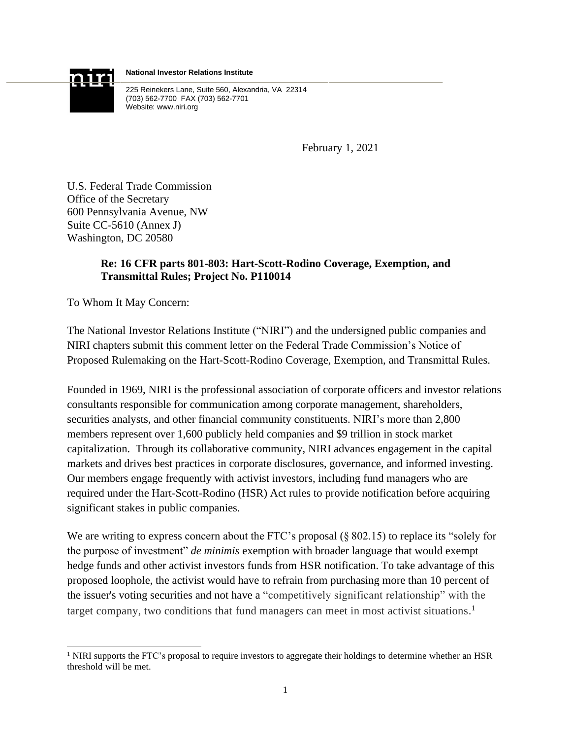

**National Investor Relations Institute**

225 Reinekers Lane, Suite 560, Alexandria, VA 22314 (703) 562-7700 FAX (703) 562-7701 Website: www.niri.org

February 1, 2021

U.S. Federal Trade Commission Office of the Secretary 600 Pennsylvania Avenue, NW Suite CC-5610 (Annex J) Washington, DC 20580

## **Re: 16 CFR parts 801-803: Hart-Scott-Rodino Coverage, Exemption, and Transmittal Rules; Project No. P110014**

To Whom It May Concern:

The National Investor Relations Institute ("NIRI") and the undersigned public companies and NIRI chapters submit this comment letter on the Federal Trade Commission's Notice of Proposed Rulemaking on the Hart-Scott-Rodino Coverage, Exemption, and Transmittal Rules.

Founded in 1969, NIRI is the professional association of corporate officers and investor relations consultants responsible for communication among corporate management, shareholders, securities analysts, and other financial community constituents. NIRI's more than 2,800 members represent over 1,600 publicly held companies and \$9 trillion in stock market capitalization. Through its collaborative community, NIRI advances engagement in the capital markets and drives best practices in corporate disclosures, governance, and informed investing. Our members engage frequently with activist investors, including fund managers who are required under the Hart-Scott-Rodino (HSR) Act rules to provide notification before acquiring significant stakes in public companies.

We are writing to express concern about the FTC's proposal (§ 802.15) to replace its "solely for the purpose of investment" *de minimis* exemption with broader language that would exempt hedge funds and other activist investors funds from HSR notification. To take advantage of this proposed loophole, the activist would have to refrain from purchasing more than 10 percent of the issuer's voting securities and not have a "competitively significant relationship" with the target company, two conditions that fund managers can meet in most activist situations.<sup>1</sup>

<sup>&</sup>lt;sup>1</sup> NIRI supports the FTC's proposal to require investors to aggregate their holdings to determine whether an HSR threshold will be met.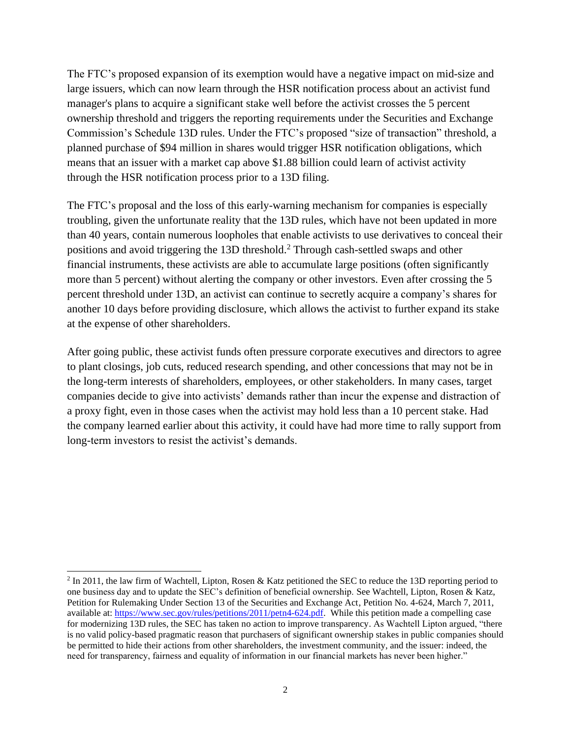The FTC's proposed expansion of its exemption would have a negative impact on mid-size and large issuers, which can now learn through the HSR notification process about an activist fund manager's plans to acquire a significant stake well before the activist crosses the 5 percent ownership threshold and triggers the reporting requirements under the Securities and Exchange Commission's Schedule 13D rules. Under the FTC's proposed "size of transaction" threshold, a planned purchase of \$94 million in shares would trigger HSR notification obligations, which means that an issuer with a market cap above \$1.88 billion could learn of activist activity through the HSR notification process prior to a 13D filing.

The FTC's proposal and the loss of this early-warning mechanism for companies is especially troubling, given the unfortunate reality that the 13D rules, which have not been updated in more than 40 years, contain numerous loopholes that enable activists to use derivatives to conceal their positions and avoid triggering the 13D threshold.<sup>2</sup> Through cash-settled swaps and other financial instruments, these activists are able to accumulate large positions (often significantly more than 5 percent) without alerting the company or other investors. Even after crossing the 5 percent threshold under 13D, an activist can continue to secretly acquire a company's shares for another 10 days before providing disclosure, which allows the activist to further expand its stake at the expense of other shareholders.

After going public, these activist funds often pressure corporate executives and directors to agree to plant closings, job cuts, reduced research spending, and other concessions that may not be in the long-term interests of shareholders, employees, or other stakeholders. In many cases, target companies decide to give into activists' demands rather than incur the expense and distraction of a proxy fight, even in those cases when the activist may hold less than a 10 percent stake. Had the company learned earlier about this activity, it could have had more time to rally support from long-term investors to resist the activist's demands.

 $2 \text{ In } 2011$ , the law firm of Wachtell, Lipton, Rosen & Katz petitioned the SEC to reduce the 13D reporting period to one business day and to update the SEC's definition of beneficial ownership. See Wachtell, Lipton, Rosen & Katz, Petition for Rulemaking Under Section 13 of the Securities and Exchange Act, Petition No. 4-624, March 7, 2011, available at: [https://www.sec.gov/rules/petitions/2011/petn4-624.pdf.](https://www.sec.gov/rules/petitions/2011/petn4-624.pdf) While this petition made a compelling case for modernizing 13D rules, the SEC has taken no action to improve transparency. As Wachtell Lipton argued, "there is no valid policy-based pragmatic reason that purchasers of significant ownership stakes in public companies should be permitted to hide their actions from other shareholders, the investment community, and the issuer: indeed, the need for transparency, fairness and equality of information in our financial markets has never been higher."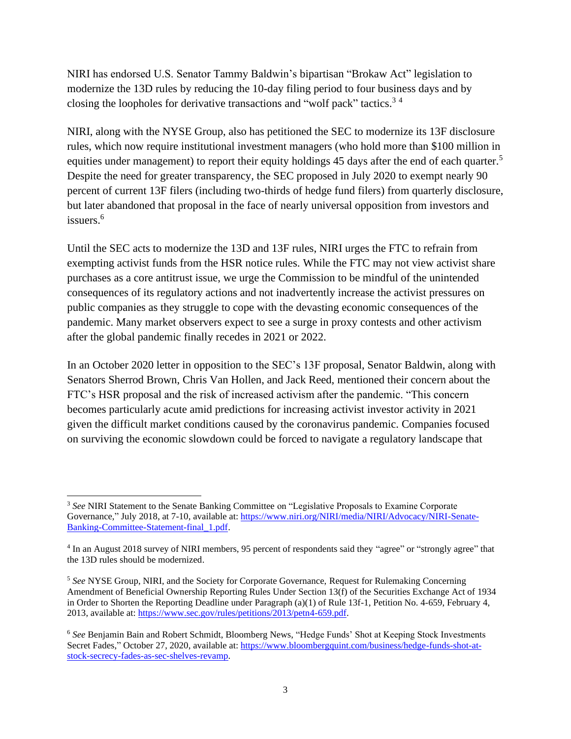NIRI has endorsed U.S. Senator Tammy Baldwin's bipartisan "Brokaw Act" legislation to modernize the 13D rules by reducing the 10-day filing period to four business days and by closing the loopholes for derivative transactions and "wolf pack" tactics.<sup>3</sup> <sup>4</sup>

NIRI, along with the NYSE Group, also has petitioned the SEC to modernize its 13F disclosure rules, which now require institutional investment managers (who hold more than \$100 million in equities under management) to report their equity holdings 45 days after the end of each quarter.<sup>5</sup> Despite the need for greater transparency, the SEC proposed in July 2020 to exempt nearly 90 percent of current 13F filers (including two-thirds of hedge fund filers) from quarterly disclosure, but later abandoned that proposal in the face of nearly universal opposition from investors and issuers $6$ 

Until the SEC acts to modernize the 13D and 13F rules, NIRI urges the FTC to refrain from exempting activist funds from the HSR notice rules. While the FTC may not view activist share purchases as a core antitrust issue, we urge the Commission to be mindful of the unintended consequences of its regulatory actions and not inadvertently increase the activist pressures on public companies as they struggle to cope with the devasting economic consequences of the pandemic. Many market observers expect to see a surge in proxy contests and other activism after the global pandemic finally recedes in 2021 or 2022.

In an October 2020 letter in opposition to the SEC's 13F proposal, Senator Baldwin, along with Senators Sherrod Brown, Chris Van Hollen, and Jack Reed, mentioned their concern about the FTC's HSR proposal and the risk of increased activism after the pandemic. "This concern becomes particularly acute amid predictions for increasing activist investor activity in 2021 given the difficult market conditions caused by the coronavirus pandemic. Companies focused on surviving the economic slowdown could be forced to navigate a regulatory landscape that

<sup>3</sup> *See* NIRI Statement to the Senate Banking Committee on "Legislative Proposals to Examine Corporate Governance," July 2018, at 7-10, available at: [https://www.niri.org/NIRI/media/NIRI/Advocacy/NIRI-Senate-](https://www.niri.org/NIRI/media/NIRI/Advocacy/NIRI-Senate-Banking-Committee-Statement-final_1.pdf)[Banking-Committee-Statement-final\\_1.pdf.](https://www.niri.org/NIRI/media/NIRI/Advocacy/NIRI-Senate-Banking-Committee-Statement-final_1.pdf)

<sup>&</sup>lt;sup>4</sup> In an August 2018 survey of NIRI members, 95 percent of respondents said they "agree" or "strongly agree" that the 13D rules should be modernized.

<sup>5</sup> *See* NYSE Group, NIRI, and the Society for Corporate Governance, Request for Rulemaking Concerning Amendment of Beneficial Ownership Reporting Rules Under Section 13(f) of the Securities Exchange Act of 1934 in Order to Shorten the Reporting Deadline under Paragraph (a)(1) of Rule 13f-1, Petition No. 4-659, February 4, 2013, available at: [https://www.sec.gov/rules/petitions/2013/petn4-659.pdf.](https://www.sec.gov/rules/petitions/2013/petn4-659.pdf)

<sup>6</sup> *See* Benjamin Bain and Robert Schmidt, Bloomberg News, "Hedge Funds' Shot at Keeping Stock Investments Secret Fades," October 27, 2020, available at: [https://www.bloombergquint.com/business/hedge-funds-shot-at](https://www.bloombergquint.com/business/hedge-funds-shot-at-stock-secrecy-fades-as-sec-shelves-revamp)[stock-secrecy-fades-as-sec-shelves-revamp.](https://www.bloombergquint.com/business/hedge-funds-shot-at-stock-secrecy-fades-as-sec-shelves-revamp)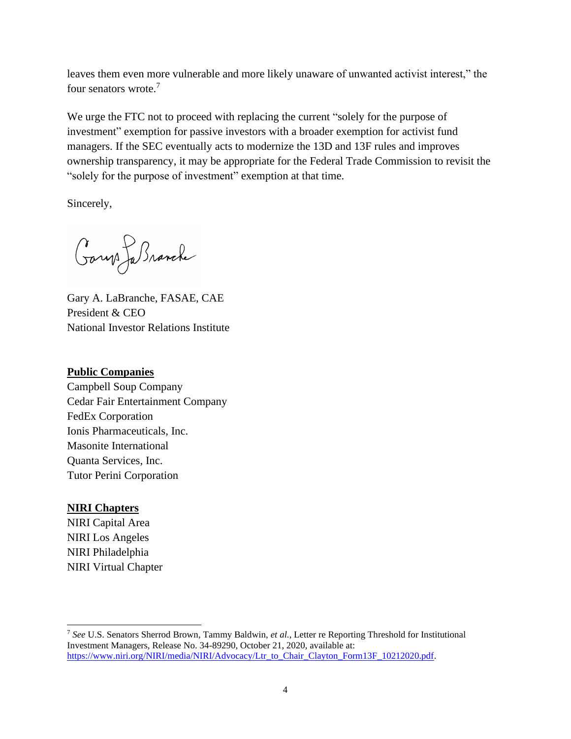leaves them even more vulnerable and more likely unaware of unwanted activist interest," the four senators wrote.<sup>7</sup>

We urge the FTC not to proceed with replacing the current "solely for the purpose of investment" exemption for passive investors with a broader exemption for activist fund managers. If the SEC eventually acts to modernize the 13D and 13F rules and improves ownership transparency, it may be appropriate for the Federal Trade Commission to revisit the "solely for the purpose of investment" exemption at that time.

Sincerely,

Garys Ja Branche

Gary A. LaBranche, FASAE, CAE President & CEO National Investor Relations Institute

## **Public Companies**

Campbell Soup Company Cedar Fair Entertainment Company FedEx Corporation Ionis Pharmaceuticals, Inc. Masonite International Quanta Services, Inc. Tutor Perini Corporation

## **NIRI Chapters**

NIRI Capital Area NIRI Los Angeles NIRI Philadelphia NIRI Virtual Chapter

<sup>7</sup> *See* U.S. Senators Sherrod Brown, Tammy Baldwin, *et al.*, Letter re Reporting Threshold for Institutional Investment Managers, Release No. 34-89290, October 21, 2020, available at: [https://www.niri.org/NIRI/media/NIRI/Advocacy/Ltr\\_to\\_Chair\\_Clayton\\_Form13F\\_10212020.pdf.](https://www.niri.org/NIRI/media/NIRI/Advocacy/Ltr_to_Chair_Clayton_Form13F_10212020.pdf)